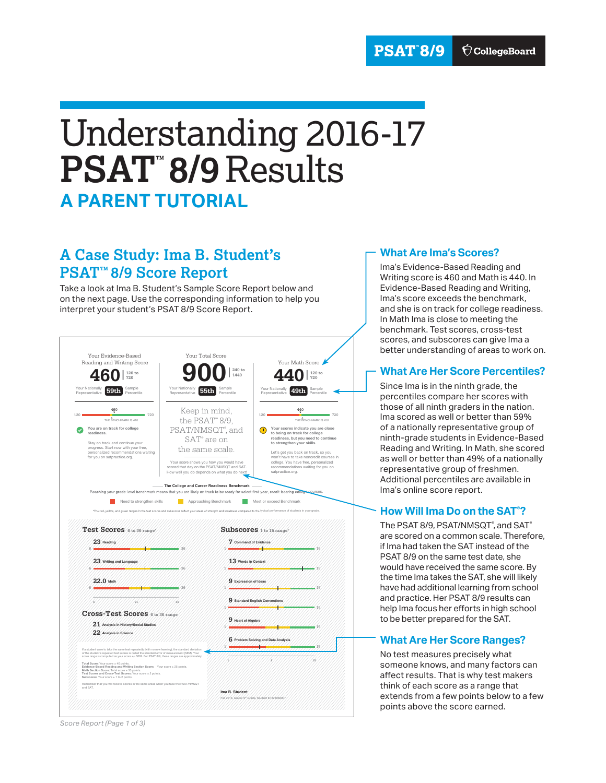# Understanding 2016-17 **PSAT™ 8/9** Results **A PARENT TUTORIAL**

## **A Case Study: Ima B. Student's PSAT™ 8/9 Score Report**

Take a look at Ima B. Student's Sample Score Report below and on the next page. Use the corresponding information to help you interpret your student's PSAT 8/9 Score Report.



#### **What Are Ima's Scores?**

Ima's Evidence-Based Reading and Writing score is 460 and Math is 440. In Evidence-Based Reading and Writing, Ima's score exceeds the benchmark, and she is on track for college readiness. In Math Ima is close to meeting the benchmark. Test scores, cross-test scores, and subscores can give Ima a better understanding of areas to work on.

#### **What Are Her Score Percentiles?**

Since Ima is in the ninth grade, the percentiles compare her scores with those of all ninth graders in the nation. Ima scored as well or better than 59% of a nationally representative group of ninth-grade students in Evidence-Based Reading and Writing. In Math, she scored as well or better than 49% of a nationally representative group of freshmen. Additional percentiles are available in Ima's online score report.

### **How Will Ima Do on the SAT® ?**

The  $\mathsf{PSAT}\,8/9$ ,  $\mathsf{PSAT}/\mathsf{NMSGT}^\circ$ , and  $\mathsf{SAT}^\circ$ are scored on a common scale. Therefore, if Ima had taken the SAT instead of the PSAT 8/9 on the same test date, she would have received the same score. By the time Ima takes the SAT, she will likely have had additional learning from school and practice. Her PSAT 8/9 results can help Ima focus her efforts in high school to be better prepared for the SAT.

#### **What Are Her Score Ranges?**

No test measures precisely what someone knows, and many factors can affect results. That is why test makers think of each score as a range that extends from a few points below to a few points above the score earned.

*Score Report (Page 1 of 3)*